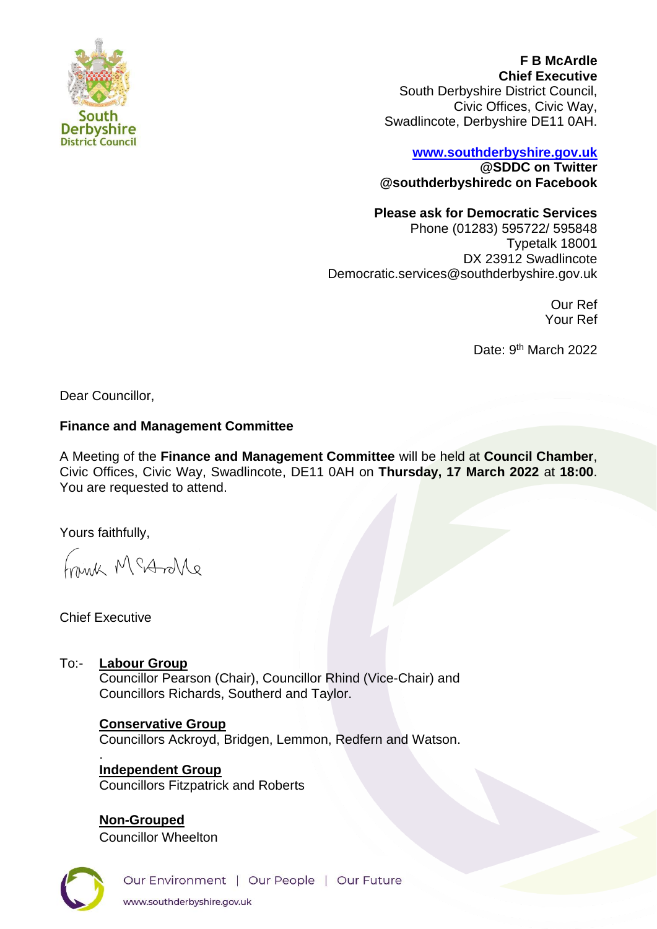

**F B McArdle Chief Executive** South Derbyshire District Council, Civic Offices, Civic Way, Swadlincote, Derbyshire DE11 0AH.

## **[www.southderbyshire.gov.uk](http://www.southderbyshire.gov.uk/) @SDDC on Twitter**

**@southderbyshiredc on Facebook**

## **Please ask for Democratic Services**

Phone (01283) 595722/ 595848 Typetalk 18001 DX 23912 Swadlincote Democratic.services@southderbyshire.gov.uk

> Our Ref Your Ref

Date: 9<sup>th</sup> March 2022

Dear Councillor,

## **Finance and Management Committee**

A Meeting of the **Finance and Management Committee** will be held at **Council Chamber**, Civic Offices, Civic Way, Swadlincote, DE11 0AH on **Thursday, 17 March 2022** at **18:00**. You are requested to attend.

Yours faithfully,

Frank McArlle

Chief Executive

To:- **Labour Group** Councillor Pearson (Chair), Councillor Rhind (Vice-Chair) and Councillors Richards, Southerd and Taylor.

> **Conservative Group**  Councillors Ackroyd, Bridgen, Lemmon, Redfern and Watson. .

**Independent Group**  Councillors Fitzpatrick and Roberts

**Non-Grouped** Councillor Wheelton



Our Environment | Our People | Our Future www.southderbyshire.gov.uk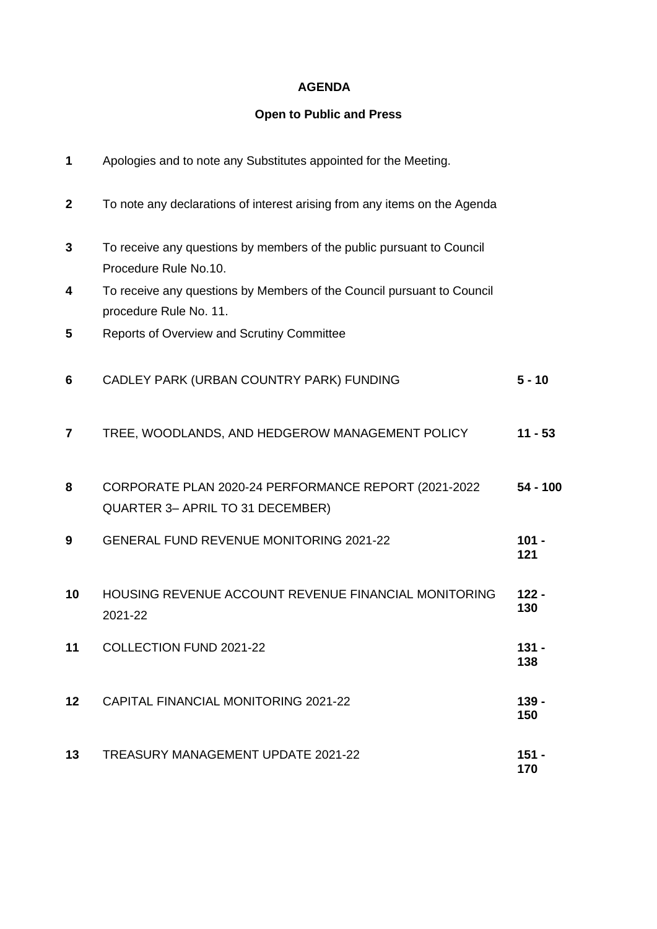## **AGENDA**

# **Open to Public and Press**

| 1           | Apologies and to note any Substitutes appointed for the Meeting.                                 |                |
|-------------|--------------------------------------------------------------------------------------------------|----------------|
| $\mathbf 2$ | To note any declarations of interest arising from any items on the Agenda                        |                |
| 3           | To receive any questions by members of the public pursuant to Council<br>Procedure Rule No.10.   |                |
| 4           | To receive any questions by Members of the Council pursuant to Council<br>procedure Rule No. 11. |                |
| 5           | <b>Reports of Overview and Scrutiny Committee</b>                                                |                |
| 6           | CADLEY PARK (URBAN COUNTRY PARK) FUNDING                                                         | $5 - 10$       |
| 7           | TREE, WOODLANDS, AND HEDGEROW MANAGEMENT POLICY                                                  | $11 - 53$      |
| 8           | CORPORATE PLAN 2020-24 PERFORMANCE REPORT (2021-2022<br>QUARTER 3- APRIL TO 31 DECEMBER)         | $54 - 100$     |
| 9           | <b>GENERAL FUND REVENUE MONITORING 2021-22</b>                                                   | $101 -$<br>121 |
| 10          | HOUSING REVENUE ACCOUNT REVENUE FINANCIAL MONITORING<br>2021-22                                  | $122 -$<br>130 |
| 11          | COLLECTION FUND 2021-22                                                                          | $131 -$<br>138 |
| 12          | <b>CAPITAL FINANCIAL MONITORING 2021-22</b>                                                      | 139 -<br>150   |
| 13          | <b>TREASURY MANAGEMENT UPDATE 2021-22</b>                                                        | $151 -$<br>170 |